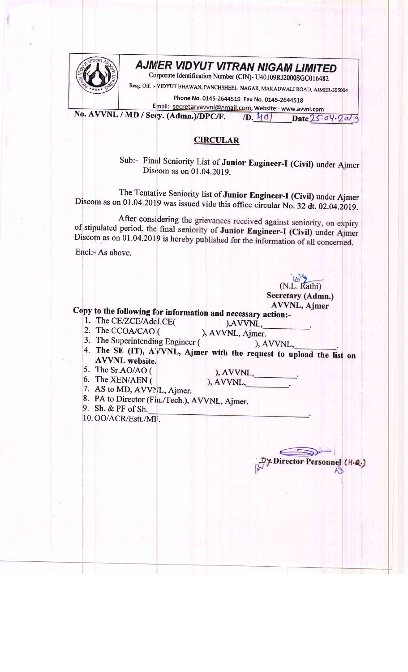

## **AJMER VIDYUT VITRAN NIGAM LIMITED**

Corporate Identification Number (CIN)- U40109RJ2000SGC016482

Resg. Off. :- VIDYUT BHAWAN, PANCHSHEEL NAGAR, MAKADWALI ROAD, AJMER-305004

Phone No. 0145-2644519 Fax No. 0145-2644518

Email:- secretaryavvnl@gmail.com, Website:- www.avvnl.com No. AVVNL / MD / Secy. (Admn.)/DPC/F.  $(D. 40)$ Date  $25.04.20/9$ 

## **CIRCULAR**

Sub:- Final Seniority List of Junior Engineer-I (Civil) under Ajmer Discom as on 01.04.2019.

The Tentative Seniority list of Junior Engineer-I (Civil) under Ajmer Discom as on 01.04.2019 was issued vide this office circular No. 32 dt. 02.04.2019.

After considering the grievances received against seniority, on expiry of stipulated period, the final seniority of Junior Engineer-I (Civil) under Ajmer Discom as on 01.04.2019 is hereby published for the information of all concerned.

Encl:- As above.

(N.L. Rathi) Secretary (Admn.) **AVVNL, Ajmer** 

## Copy to the following for information and necessary action:-

- 1. The CE/ZCE/Addl.CE( 2. The CCOA/CAO (
- ), AVVNL, ), AVVNL, Ajmer.
- 3. The Superintending Engineer (
- ), AVVNL, 4. The SE (IT), AVVNL, Ajmer with the request to upload the list on **AVVNL** website.
- 5. The Sr.AO/AO (
- ), AVVNL,  $AVVNL$ ,
- 6. The XEN/AEN ( 7. AS to MD, AVVNL, Ajmer.
- 8. PA to Director (Fin./Tech.), AVVNL, Ajmer.
- 
- 9. Sh. & PF of Sh.
- 10. OO/ACR/Estt./MF.

, Director Personnel (H.Q.)